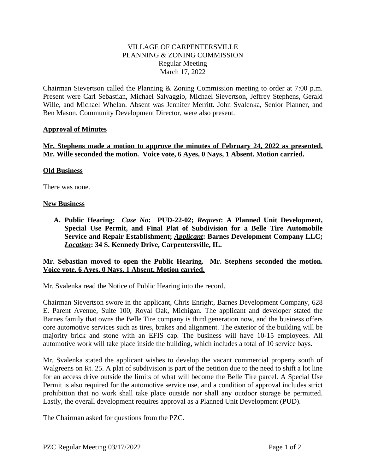# VILLAGE OF CARPENTERSVILLE PLANNING & ZONING COMMISSION Regular Meeting March 17, 2022

Chairman Sievertson called the Planning & Zoning Commission meeting to order at 7:00 p.m. Present were Carl Sebastian, Michael Salvaggio, Michael Sievertson, Jeffrey Stephens, Gerald Wille, and Michael Whelan. Absent was Jennifer Merritt. John Svalenka, Senior Planner, and Ben Mason, Community Development Director, were also present.

# **Approval of Minutes**

# **Mr. Stephens made a motion to approve the minutes of February 24, 2022 as presented. Mr. Wille seconded the motion. Voice vote, 6 Ayes, 0 Nays, 1 Absent. Motion carried.**

#### **Old Business**

There was none.

#### **New Business**

**A. Public Hearing:** *Case No***: PUD-22-02;** *Request***: A Planned Unit Development, Special Use Permit, and Final Plat of Subdivision for a Belle Tire Automobile Service and Repair Establishment;** *Applicant***: Barnes Development Company LLC;** *Location***: 34 S. Kennedy Drive, Carpentersville, IL.**

#### **Mr. Sebastian moved to open the Public Hearing. Mr. Stephens seconded the motion. Voice vote, 6 Ayes, 0 Nays, 1 Absent. Motion carried.**

Mr. Svalenka read the Notice of Public Hearing into the record.

Chairman Sievertson swore in the applicant, Chris Enright, Barnes Development Company, 628 E. Parent Avenue, Suite 100, Royal Oak, Michigan. The applicant and developer stated the Barnes family that owns the Belle Tire company is third generation now, and the business offers core automotive services such as tires, brakes and alignment. The exterior of the building will be majority brick and stone with an EFIS cap. The business will have 10-15 employees. All automotive work will take place inside the building, which includes a total of 10 service bays.

Mr. Svalenka stated the applicant wishes to develop the vacant commercial property south of Walgreens on Rt. 25. A plat of subdivision is part of the petition due to the need to shift a lot line for an access drive outside the limits of what will become the Belle Tire parcel. A Special Use Permit is also required for the automotive service use, and a condition of approval includes strict prohibition that no work shall take place outside nor shall any outdoor storage be permitted. Lastly, the overall development requires approval as a Planned Unit Development (PUD).

The Chairman asked for questions from the PZC.